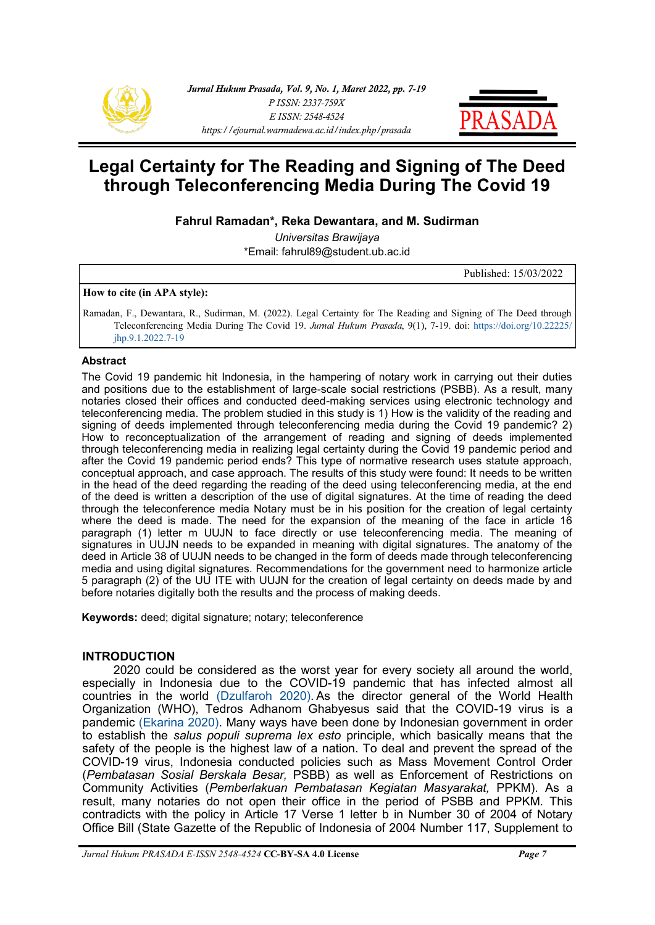



# **Legal Certainty for The Reading and Signing of The Deed through Teleconferencing Media During The Covid 19**

**Fahrul Ramadan\*, Reka Dewantara, and M. Sudirman**

*Universitas Brawijaya* \*Email: fahrul89@student.ub.ac.id

Published: 15/03/2022

#### **How to cite (in APA style):**

Ramadan, F., Dewantara, R., Sudirman, M. (2022). Legal Certainty for The Reading and Signing of The Deed through Teleconferencing Media During The Covid 19. *Jurnal Hukum Prasada*, 9(1), 7-19. doi: [https://doi.org/10.22225/](https://ejournal.warmadewa.ac.id/index.php/prasada/article/view/4004) [jhp.9.1.2022.7](https://ejournal.warmadewa.ac.id/index.php/prasada/article/view/4004)-19

#### **Abstract**

The Covid 19 pandemic hit Indonesia, in the hampering of notary work in carrying out their duties and positions due to the establishment of large-scale social restrictions (PSBB). As a result, many notaries closed their offices and conducted deed-making services using electronic technology and teleconferencing media. The problem studied in this study is 1) How is the validity of the reading and signing of deeds implemented through teleconferencing media during the Covid 19 pandemic? 2) How to reconceptualization of the arrangement of reading and signing of deeds implemented through teleconferencing media in realizing legal certainty during the Covid 19 pandemic period and after the Covid 19 pandemic period ends? This type of normative research uses statute approach, conceptual approach, and case approach. The results of this study were found: It needs to be written in the head of the deed regarding the reading of the deed using teleconferencing media, at the end of the deed is written a description of the use of digital signatures. At the time of reading the deed through the teleconference media Notary must be in his position for the creation of legal certainty where the deed is made. The need for the expansion of the meaning of the face in article 16 paragraph (1) letter m UUJN to face directly or use teleconferencing media. The meaning of signatures in UUJN needs to be expanded in meaning with digital signatures. The anatomy of the deed in Article 38 of UUJN needs to be changed in the form of deeds made through teleconferencing media and using digital signatures. Recommendations for the government need to harmonize article 5 paragraph (2) of the UU ITE with UUJN for the creation of legal certainty on deeds made by and before notaries digitally both the results and the process of making deeds.

**Keywords:** deed; digital signature; notary; teleconference

# **INTRODUCTION**

2020 could be considered as the worst year for every society all around the world, especially in Indonesia due to the COVID-19 pandemic that has infected almost all countries in the world [\(Dzulfaroh 2020\).](#page-11-0) As the director general of the World Health Organization (WHO), Tedros Adhanom Ghabyesus said that the COVID-19 virus is a pandemic [\(Ekarina 2020\).](#page-11-0) Many ways have been done by Indonesian government in order to establish the *salus populi suprema lex esto* principle, which basically means that the safety of the people is the highest law of a nation. To deal and prevent the spread of the COVID-19 virus, Indonesia conducted policies such as Mass Movement Control Order (*Pembatasan Sosial Berskala Besar,* PSBB) as well as Enforcement of Restrictions on Community Activities (*Pemberlakuan Pembatasan Kegiatan Masyarakat,* PPKM). As a result, many notaries do not open their office in the period of PSBB and PPKM. This contradicts with the policy in Article 17 Verse 1 letter b in Number 30 of 2004 of Notary Office Bill (State Gazette of the Republic of Indonesia of 2004 Number 117, Supplement to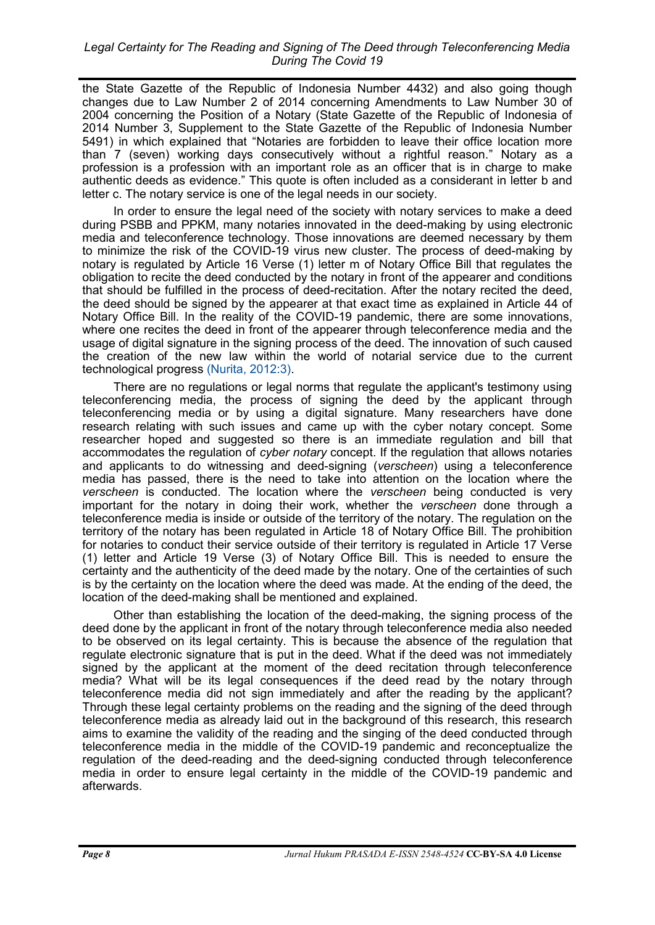the State Gazette of the Republic of Indonesia Number 4432) and also going though changes due to Law Number 2 of 2014 concerning Amendments to Law Number 30 of 2004 concerning the Position of a Notary (State Gazette of the Republic of Indonesia of 2014 Number 3, Supplement to the State Gazette of the Republic of Indonesia Number 5491) in which explained that "Notaries are forbidden to leave their office location more than 7 (seven) working days consecutively without a rightful reason." Notary as a profession is a profession with an important role as an officer that is in charge to make authentic deeds as evidence." This quote is often included as a considerant in letter b and letter c. The notary service is one of the legal needs in our society.

In order to ensure the legal need of the society with notary services to make a deed during PSBB and PPKM, many notaries innovated in the deed-making by using electronic media and teleconference technology. Those innovations are deemed necessary by them to minimize the risk of the COVID-19 virus new cluster. The process of deed-making by notary is regulated by Article 16 Verse (1) letter m of Notary Office Bill that regulates the obligation to recite the deed conducted by the notary in front of the appearer and conditions that should be fulfilled in the process of deed-recitation. After the notary recited the deed, the deed should be signed by the appearer at that exact time as explained in Article 44 of Notary Office Bill. In the reality of the COVID-19 pandemic, there are some innovations, where one recites the deed in front of the appearer through teleconference media and the usage of digital signature in the signing process of the deed. The innovation of such caused the creation of the new law within the world of notarial service due to the current technological progress [\(Nurita, 2012:3\).](#page-11-0)

There are no regulations or legal norms that regulate the applicant's testimony using teleconferencing media, the process of signing the deed by the applicant through teleconferencing media or by using a digital signature. Many researchers have done research relating with such issues and came up with the cyber notary concept. Some researcher hoped and suggested so there is an immediate regulation and bill that accommodates the regulation of *cyber notary* concept. If the regulation that allows notaries and applicants to do witnessing and deed-signing (*verscheen*) using a teleconference media has passed, there is the need to take into attention on the location where the *verscheen* is conducted. The location where the *verscheen* being conducted is very important for the notary in doing their work, whether the *verscheen* done through a teleconference media is inside or outside of the territory of the notary. The regulation on the territory of the notary has been regulated in Article 18 of Notary Office Bill. The prohibition for notaries to conduct their service outside of their territory is regulated in Article 17 Verse (1) letter and Article 19 Verse (3) of Notary Office Bill. This is needed to ensure the certainty and the authenticity of the deed made by the notary. One of the certainties of such is by the certainty on the location where the deed was made. At the ending of the deed, the location of the deed-making shall be mentioned and explained.

Other than establishing the location of the deed-making, the signing process of the deed done by the applicant in front of the notary through teleconference media also needed to be observed on its legal certainty. This is because the absence of the regulation that regulate electronic signature that is put in the deed. What if the deed was not immediately signed by the applicant at the moment of the deed recitation through teleconference media? What will be its legal consequences if the deed read by the notary through teleconference media did not sign immediately and after the reading by the applicant? Through these legal certainty problems on the reading and the signing of the deed through teleconference media as already laid out in the background of this research, this research aims to examine the validity of the reading and the singing of the deed conducted through teleconference media in the middle of the COVID-19 pandemic and reconceptualize the regulation of the deed-reading and the deed-signing conducted through teleconference media in order to ensure legal certainty in the middle of the COVID-19 pandemic and afterwards.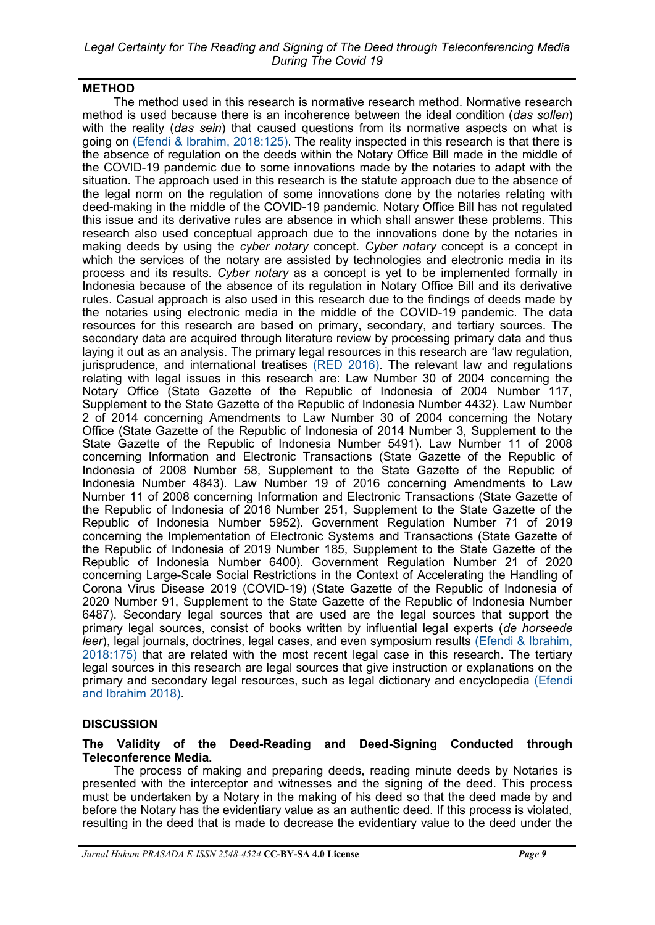## **METHOD**

The method used in this research is normative research method. Normative research method is used because there is an incoherence between the ideal condition (*das sollen*) with the reality (*das sein*) that caused questions from its normative aspects on what is going on [\(Efendi & Ibrahim, 2018:125\).](#page-11-0) The reality inspected in this research is that there is the absence of regulation on the deeds within the Notary Office Bill made in the middle of the COVID-19 pandemic due to some innovations made by the notaries to adapt with the situation. The approach used in this research is the statute approach due to the absence of the legal norm on the regulation of some innovations done by the notaries relating with deed-making in the middle of the COVID-19 pandemic. Notary Office Bill has not regulated this issue and its derivative rules are absence in which shall answer these problems. This research also used conceptual approach due to the innovations done by the notaries in making deeds by using the *cyber notary* concept. *Cyber notary* concept is a concept in which the services of the notary are assisted by technologies and electronic media in its process and its results. *Cyber notary* as a concept is yet to be implemented formally in Indonesia because of the absence of its regulation in Notary Office Bill and its derivative rules. Casual approach is also used in this research due to the findings of deeds made by the notaries using electronic media in the middle of the COVID-19 pandemic. The data resources for this research are based on primary, secondary, and tertiary sources. The secondary data are acquired through literature review by processing primary data and thus laying it out as an analysis. The primary legal resources in this research are 'law regulation, jurisprudence, and international treatises [\(RED 2016\).](#page-11-0) The relevant law and regulations relating with legal issues in this research are: Law Number 30 of 2004 concerning the Notary Office (State Gazette of the Republic of Indonesia of 2004 Number 117, Supplement to the State Gazette of the Republic of Indonesia Number 4432). Law Number 2 of 2014 concerning Amendments to Law Number 30 of 2004 concerning the Notary Office (State Gazette of the Republic of Indonesia of 2014 Number 3, Supplement to the State Gazette of the Republic of Indonesia Number 5491). Law Number 11 of 2008 concerning Information and Electronic Transactions (State Gazette of the Republic of Indonesia of 2008 Number 58, Supplement to the State Gazette of the Republic of Indonesia Number 4843). Law Number 19 of 2016 concerning Amendments to Law Number 11 of 2008 concerning Information and Electronic Transactions (State Gazette of the Republic of Indonesia of 2016 Number 251, Supplement to the State Gazette of the Republic of Indonesia Number 5952). Government Regulation Number 71 of 2019 concerning the Implementation of Electronic Systems and Transactions (State Gazette of the Republic of Indonesia of 2019 Number 185, Supplement to the State Gazette of the Republic of Indonesia Number 6400). Government Regulation Number 21 of 2020 concerning Large-Scale Social Restrictions in the Context of Accelerating the Handling of Corona Virus Disease 2019 (COVID-19) (State Gazette of the Republic of Indonesia of 2020 Number 91, Supplement to the State Gazette of the Republic of Indonesia Number 6487). Secondary legal sources that are used are the legal sources that support the primary legal sources, consist of books written by influential legal experts (*de horseede leer*), legal journals, doctrines, legal cases, and even symposium results (Efendi & Ibrahim, [2018:175\)](#page-11-0) that are related with the most recent legal case in this research. The tertiary legal sources in this research are legal sources that give instruction or explanations on the primary and secondary legal resources, such as legal dictionary and encyclopedia [\(Efendi](#page-11-0)  [and Ibrahim 2018\).](#page-11-0)

# **DISCUSSION**

## **The Validity of the Deed-Reading and Deed-Signing Conducted through Teleconference Media.**

The process of making and preparing deeds, reading minute deeds by Notaries is presented with the interceptor and witnesses and the signing of the deed. This process must be undertaken by a Notary in the making of his deed so that the deed made by and before the Notary has the evidentiary value as an authentic deed. If this process is violated, resulting in the deed that is made to decrease the evidentiary value to the deed under the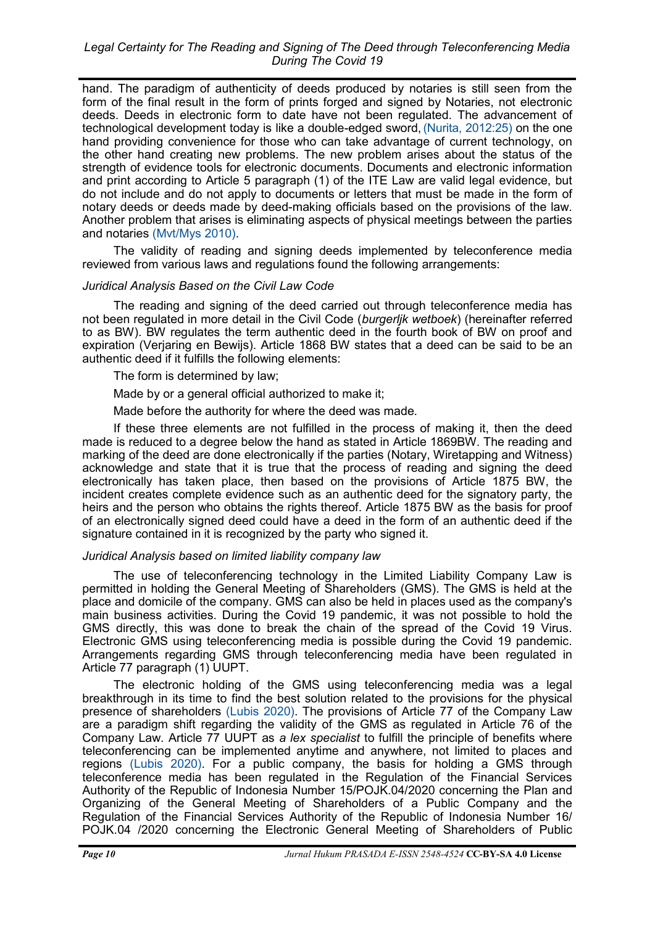hand. The paradigm of authenticity of deeds produced by notaries is still seen from the form of the final result in the form of prints forged and signed by Notaries, not electronic deeds. Deeds in electronic form to date have not been regulated. The advancement of technological development today is like a double-edged sword,[\(Nurita, 2012:25\)](#page-11-0) on the one hand providing convenience for those who can take advantage of current technology, on the other hand creating new problems. The new problem arises about the status of the strength of evidence tools for electronic documents. Documents and electronic information and print according to Article 5 paragraph (1) of the ITE Law are valid legal evidence, but do not include and do not apply to documents or letters that must be made in the form of notary deeds or deeds made by deed-making officials based on the provisions of the law. Another problem that arises is eliminating aspects of physical meetings between the parties and notaries [\(Mvt/Mys 2010\).](#page-11-0)

The validity of reading and signing deeds implemented by teleconference media reviewed from various laws and regulations found the following arrangements:

# *Juridical Analysis Based on the Civil Law Code*

The reading and signing of the deed carried out through teleconference media has not been regulated in more detail in the Civil Code (*burgerljk wetboek*) (hereinafter referred to as BW). BW regulates the term authentic deed in the fourth book of BW on proof and expiration (Verjaring en Bewijs). Article 1868 BW states that a deed can be said to be an authentic deed if it fulfills the following elements:

The form is determined by law;

Made by or a general official authorized to make it;

Made before the authority for where the deed was made.

If these three elements are not fulfilled in the process of making it, then the deed made is reduced to a degree below the hand as stated in Article 1869BW. The reading and marking of the deed are done electronically if the parties (Notary, Wiretapping and Witness) acknowledge and state that it is true that the process of reading and signing the deed electronically has taken place, then based on the provisions of Article 1875 BW, the incident creates complete evidence such as an authentic deed for the signatory party, the heirs and the person who obtains the rights thereof. Article 1875 BW as the basis for proof of an electronically signed deed could have a deed in the form of an authentic deed if the signature contained in it is recognized by the party who signed it.

#### *Juridical Analysis based on limited liability company law*

The use of teleconferencing technology in the Limited Liability Company Law is permitted in holding the General Meeting of Shareholders (GMS). The GMS is held at the place and domicile of the company. GMS can also be held in places used as the company's main business activities. During the Covid 19 pandemic, it was not possible to hold the GMS directly, this was done to break the chain of the spread of the Covid 19 Virus. Electronic GMS using teleconferencing media is possible during the Covid 19 pandemic. Arrangements regarding GMS through teleconferencing media have been regulated in Article 77 paragraph (1) UUPT.

The electronic holding of the GMS using teleconferencing media was a legal breakthrough in its time to find the best solution related to the provisions for the physical presence of shareholders [\(Lubis 2020\).](#page-11-0) The provisions of Article 77 of the Company Law are a paradigm shift regarding the validity of the GMS as regulated in Article 76 of the Company Law. Article 77 UUPT as *a lex specialist* to fulfill the principle of benefits where teleconferencing can be implemented anytime and anywhere, not limited to places and regions [\(Lubis 2020\).](#page-11-0) For a public company, the basis for holding a GMS through teleconference media has been regulated in the Regulation of the Financial Services Authority of the Republic of Indonesia Number 15/POJK.04/2020 concerning the Plan and Organizing of the General Meeting of Shareholders of a Public Company and the Regulation of the Financial Services Authority of the Republic of Indonesia Number 16/ POJK.04 /2020 concerning the Electronic General Meeting of Shareholders of Public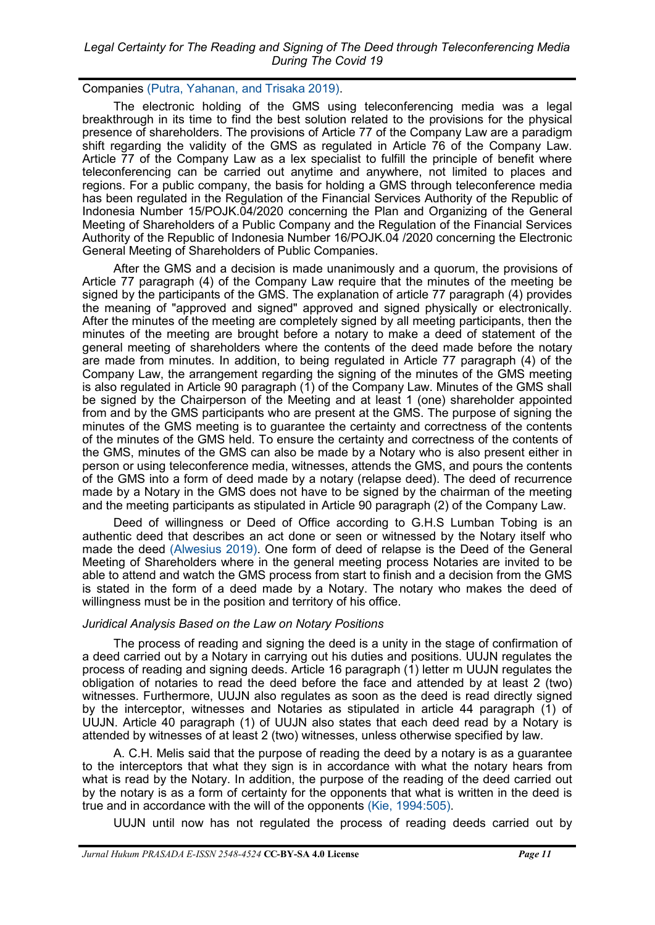Companies [\(Putra, Yahanan, and Trisaka 2019\).](#page-11-0)

The electronic holding of the GMS using teleconferencing media was a legal breakthrough in its time to find the best solution related to the provisions for the physical presence of shareholders. The provisions of Article 77 of the Company Law are a paradigm shift regarding the validity of the GMS as regulated in Article 76 of the Company Law. Article 77 of the Company Law as a lex specialist to fulfill the principle of benefit where teleconferencing can be carried out anytime and anywhere, not limited to places and regions. For a public company, the basis for holding a GMS through teleconference media has been regulated in the Regulation of the Financial Services Authority of the Republic of Indonesia Number 15/POJK.04/2020 concerning the Plan and Organizing of the General Meeting of Shareholders of a Public Company and the Regulation of the Financial Services Authority of the Republic of Indonesia Number 16/POJK.04 /2020 concerning the Electronic General Meeting of Shareholders of Public Companies.

After the GMS and a decision is made unanimously and a quorum, the provisions of Article 77 paragraph (4) of the Company Law require that the minutes of the meeting be signed by the participants of the GMS. The explanation of article 77 paragraph (4) provides the meaning of "approved and signed" approved and signed physically or electronically. After the minutes of the meeting are completely signed by all meeting participants, then the minutes of the meeting are brought before a notary to make a deed of statement of the general meeting of shareholders where the contents of the deed made before the notary are made from minutes. In addition, to being regulated in Article 77 paragraph (4) of the Company Law, the arrangement regarding the signing of the minutes of the GMS meeting is also regulated in Article 90 paragraph (1) of the Company Law. Minutes of the GMS shall be signed by the Chairperson of the Meeting and at least 1 (one) shareholder appointed from and by the GMS participants who are present at the GMS. The purpose of signing the minutes of the GMS meeting is to guarantee the certainty and correctness of the contents of the minutes of the GMS held. To ensure the certainty and correctness of the contents of the GMS, minutes of the GMS can also be made by a Notary who is also present either in person or using teleconference media, witnesses, attends the GMS, and pours the contents of the GMS into a form of deed made by a notary (relapse deed). The deed of recurrence made by a Notary in the GMS does not have to be signed by the chairman of the meeting and the meeting participants as stipulated in Article 90 paragraph (2) of the Company Law.

Deed of willingness or Deed of Office according to G.H.S Lumban Tobing is an authentic deed that describes an act done or seen or witnessed by the Notary itself who made the deed [\(Alwesius 2019\).](#page-11-0) One form of deed of relapse is the Deed of the General Meeting of Shareholders where in the general meeting process Notaries are invited to be able to attend and watch the GMS process from start to finish and a decision from the GMS is stated in the form of a deed made by a Notary. The notary who makes the deed of willingness must be in the position and territory of his office.

# *Juridical Analysis Based on the Law on Notary Positions*

The process of reading and signing the deed is a unity in the stage of confirmation of a deed carried out by a Notary in carrying out his duties and positions. UUJN regulates the process of reading and signing deeds. Article 16 paragraph (1) letter m UUJN regulates the obligation of notaries to read the deed before the face and attended by at least 2 (two) witnesses. Furthermore, UUJN also regulates as soon as the deed is read directly signed by the interceptor, witnesses and Notaries as stipulated in article 44 paragraph (1) of UUJN. Article 40 paragraph (1) of UUJN also states that each deed read by a Notary is attended by witnesses of at least 2 (two) witnesses, unless otherwise specified by law.

A. C.H. Melis said that the purpose of reading the deed by a notary is as a guarantee to the interceptors that what they sign is in accordance with what the notary hears from what is read by the Notary. In addition, the purpose of the reading of the deed carried out by the notary is as a form of certainty for the opponents that what is written in the deed is true and in accordance with the will of the opponents [\(Kie, 1994:505\).](#page-11-0)

UUJN until now has not regulated the process of reading deeds carried out by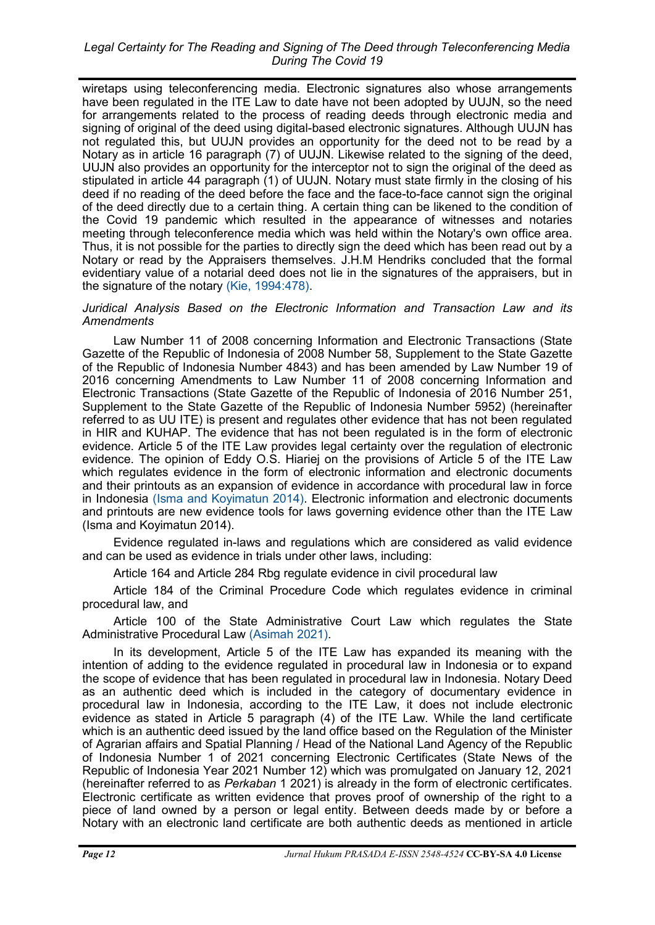wiretaps using teleconferencing media. Electronic signatures also whose arrangements have been regulated in the ITE Law to date have not been adopted by UUJN, so the need for arrangements related to the process of reading deeds through electronic media and signing of original of the deed using digital-based electronic signatures. Although UUJN has not regulated this, but UUJN provides an opportunity for the deed not to be read by a Notary as in article 16 paragraph (7) of UUJN. Likewise related to the signing of the deed, UUJN also provides an opportunity for the interceptor not to sign the original of the deed as stipulated in article 44 paragraph (1) of UUJN. Notary must state firmly in the closing of his deed if no reading of the deed before the face and the face-to-face cannot sign the original of the deed directly due to a certain thing. A certain thing can be likened to the condition of the Covid 19 pandemic which resulted in the appearance of witnesses and notaries meeting through teleconference media which was held within the Notary's own office area. Thus, it is not possible for the parties to directly sign the deed which has been read out by a Notary or read by the Appraisers themselves. J.H.M Hendriks concluded that the formal evidentiary value of a notarial deed does not lie in the signatures of the appraisers, but in the signature of the notary [\(Kie, 1994:478\).](#page-11-0)

#### *Juridical Analysis Based on the Electronic Information and Transaction Law and its Amendments*

Law Number 11 of 2008 concerning Information and Electronic Transactions (State Gazette of the Republic of Indonesia of 2008 Number 58, Supplement to the State Gazette of the Republic of Indonesia Number 4843) and has been amended by Law Number 19 of 2016 concerning Amendments to Law Number 11 of 2008 concerning Information and Electronic Transactions (State Gazette of the Republic of Indonesia of 2016 Number 251, Supplement to the State Gazette of the Republic of Indonesia Number 5952) (hereinafter referred to as UU ITE) is present and regulates other evidence that has not been regulated in HIR and KUHAP. The evidence that has not been regulated is in the form of electronic evidence. Article 5 of the ITE Law provides legal certainty over the regulation of electronic evidence. The opinion of Eddy O.S. Hiariej on the provisions of Article 5 of the ITE Law which regulates evidence in the form of electronic information and electronic documents and their printouts as an expansion of evidence in accordance with procedural law in force in Indonesia [\(Isma and Koyimatun 2014\).](#page-11-0) Electronic information and electronic documents and printouts are new evidence tools for laws governing evidence other than the ITE Law (Isma and Koyimatun 2014).

Evidence regulated in-laws and regulations which are considered as valid evidence and can be used as evidence in trials under other laws, including:

Article 164 and Article 284 Rbg regulate evidence in civil procedural law

Article 184 of the Criminal Procedure Code which regulates evidence in criminal procedural law, and

Article 100 of the State Administrative Court Law which regulates the State Administrative Procedural Law [\(Asimah 2021\).](#page-11-0)

In its development, Article 5 of the ITE Law has expanded its meaning with the intention of adding to the evidence regulated in procedural law in Indonesia or to expand the scope of evidence that has been regulated in procedural law in Indonesia. Notary Deed as an authentic deed which is included in the category of documentary evidence in procedural law in Indonesia, according to the ITE Law, it does not include electronic evidence as stated in Article 5 paragraph (4) of the ITE Law. While the land certificate which is an authentic deed issued by the land office based on the Regulation of the Minister of Agrarian affairs and Spatial Planning / Head of the National Land Agency of the Republic of Indonesia Number 1 of 2021 concerning Electronic Certificates (State News of the Republic of Indonesia Year 2021 Number 12) which was promulgated on January 12, 2021 (hereinafter referred to as *Perkaban* 1 2021) is already in the form of electronic certificates. Electronic certificate as written evidence that proves proof of ownership of the right to a piece of land owned by a person or legal entity. Between deeds made by or before a Notary with an electronic land certificate are both authentic deeds as mentioned in article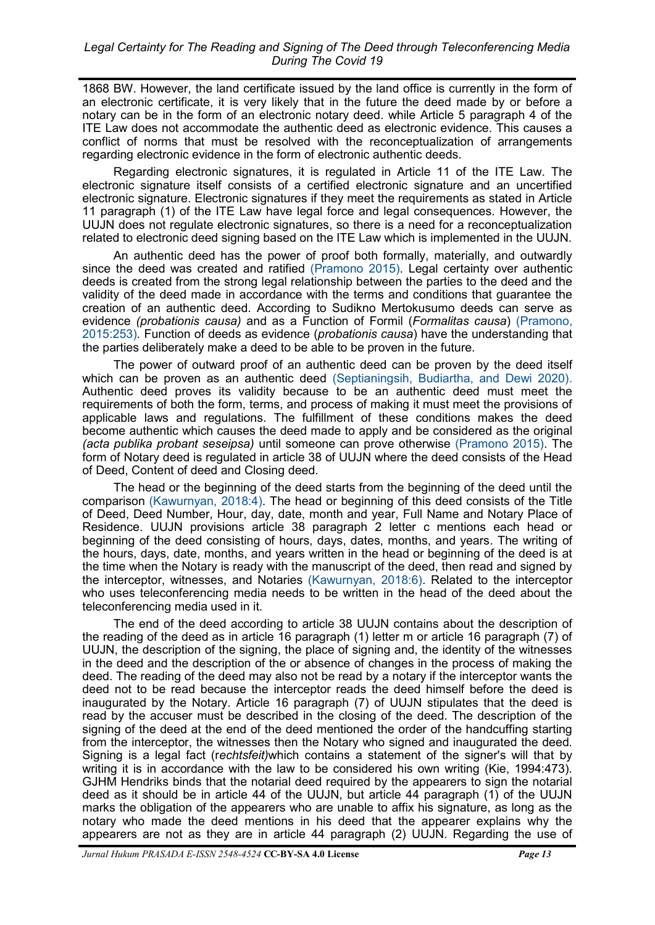1868 BW. However, the land certificate issued by the land office is currently in the form of an electronic certificate, it is very likely that in the future the deed made by or before a notary can be in the form of an electronic notary deed. while Article 5 paragraph 4 of the ITE Law does not accommodate the authentic deed as electronic evidence. This causes a conflict of norms that must be resolved with the reconceptualization of arrangements regarding electronic evidence in the form of electronic authentic deeds.

Regarding electronic signatures, it is regulated in Article 11 of the ITE Law. The electronic signature itself consists of a certified electronic signature and an uncertified electronic signature. Electronic signatures if they meet the requirements as stated in Article 11 paragraph (1) of the ITE Law have legal force and legal consequences. However, the UUJN does not regulate electronic signatures, so there is a need for a reconceptualization related to electronic deed signing based on the ITE Law which is implemented in the UUJN.

An authentic deed has the power of proof both formally, materially, and outwardly since the deed was created and ratified [\(Pramono 2015\).](#page-11-0) Legal certainty over authentic deeds is created from the strong legal relationship between the parties to the deed and the validity of the deed made in accordance with the terms and conditions that guarantee the creation of an authentic deed. According to Sudikno Mertokusumo deeds can serve as evidence *(probationis causa)* and as a Function of Formil (*Formalitas causa*) [\(Pramono,](#page-11-0)  [2015:253\).](#page-11-0) Function of deeds as evidence (*probationis causa*) have the understanding that the parties deliberately make a deed to be able to be proven in the future.

The power of outward proof of an authentic deed can be proven by the deed itself which can be proven as an authentic deed [\(Septianingsih, Budiartha, and Dewi 2020\).](#page-11-0) Authentic deed proves its validity because to be an authentic deed must meet the requirements of both the form, terms, and process of making it must meet the provisions of applicable laws and regulations. The fulfillment of these conditions makes the deed become authentic which causes the deed made to apply and be considered as the original *(acta publika probant seseipsa)* until someone can prove otherwise [\(Pramono 2015\).](#page-11-0) The form of Notary deed is regulated in article 38 of UUJN where the deed consists of the Head of Deed, Content of deed and Closing deed.

The head or the beginning of the deed starts from the beginning of the deed until the comparison [\(Kawurnyan, 2018:4\).](#page-11-0) The head or beginning of this deed consists of the Title of Deed, Deed Number, Hour, day, date, month and year, Full Name and Notary Place of Residence. UUJN provisions article 38 paragraph 2 letter c mentions each head or beginning of the deed consisting of hours, days, dates, months, and years. The writing of the hours, days, date, months, and years written in the head or beginning of the deed is at the time when the Notary is ready with the manuscript of the deed, then read and signed by the interceptor, witnesses, and Notaries [\(Kawurnyan, 2018:6\).](#page-11-0) Related to the interceptor who uses teleconferencing media needs to be written in the head of the deed about the teleconferencing media used in it.

The end of the deed according to article 38 UUJN contains about the description of the reading of the deed as in article 16 paragraph (1) letter m or article 16 paragraph (7) of UUJN, the description of the signing, the place of signing and, the identity of the witnesses in the deed and the description of the or absence of changes in the process of making the deed. The reading of the deed may also not be read by a notary if the interceptor wants the deed not to be read because the interceptor reads the deed himself before the deed is inaugurated by the Notary. Article 16 paragraph (7) of UUJN stipulates that the deed is read by the accuser must be described in the closing of the deed. The description of the signing of the deed at the end of the deed mentioned the order of the handcuffing starting from the interceptor, the witnesses then the Notary who signed and inaugurated the deed. Signing is a legal fact (r*echtsfeit)*which contains a statement of the signer's will that by writing it is in accordance with the law to be considered his own writing (Kie, 1994:473). GJHM Hendriks binds that the notarial deed required by the appearers to sign the notarial deed as it should be in article 44 of the UUJN, but article 44 paragraph (1) of the UUJN marks the obligation of the appearers who are unable to affix his signature, as long as the notary who made the deed mentions in his deed that the appearer explains why the appearers are not as they are in article 44 paragraph (2) UUJN. Regarding the use of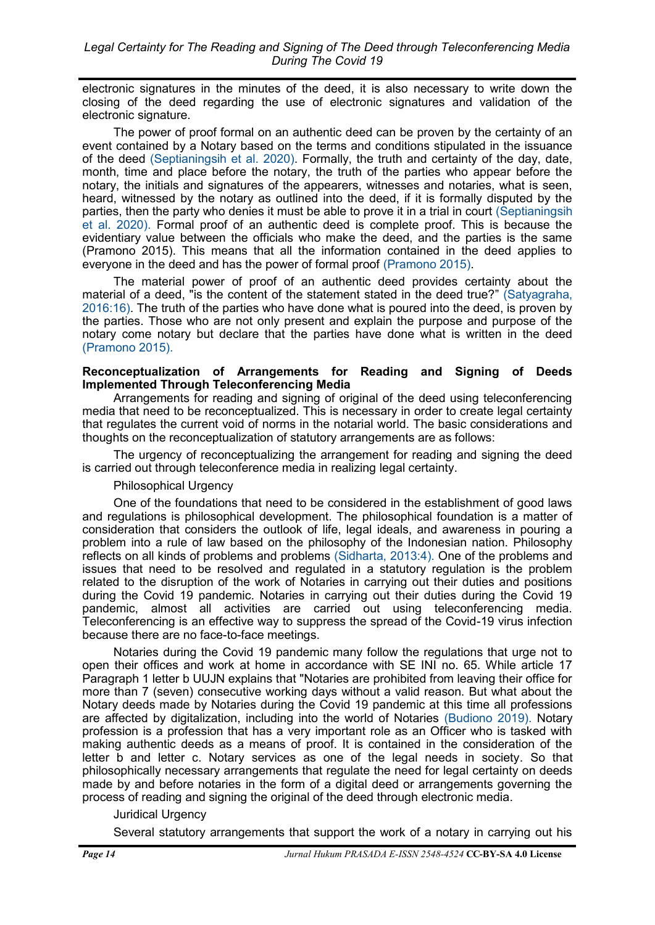electronic signatures in the minutes of the deed, it is also necessary to write down the closing of the deed regarding the use of electronic signatures and validation of the electronic signature.

The power of proof formal on an authentic deed can be proven by the certainty of an event contained by a Notary based on the terms and conditions stipulated in the issuance of the deed [\(Septianingsih et al. 2020\).](#page-11-0) Formally, the truth and certainty of the day, date, month, time and place before the notary, the truth of the parties who appear before the notary, the initials and signatures of the appearers, witnesses and notaries, what is seen, heard, witnessed by the notary as outlined into the deed, if it is formally disputed by the parties, then the party who denies it must be able to prove it in a trial in court [\(Septianingsih](#page-11-0)  [et al. 2020\).](#page-11-0) Formal proof of an authentic deed is complete proof. This is because the evidentiary value between the officials who make the deed, and the parties is the same (Pramono 2015). This means that all the information contained in the deed applies to everyone in the deed and has the power of formal proof [\(Pramono 2015\).](#page-11-0) 

The material power of proof of an authentic deed provides certainty about the material of a deed, "is the content of the statement stated in the deed true?" [\(Satyagraha,](#page-11-0)  [2016:16\).](#page-11-0) The truth of the parties who have done what is poured into the deed, is proven by the parties. Those who are not only present and explain the purpose and purpose of the notary come notary but declare that the parties have done what is written in the deed [\(Pramono 2015\).](#page-11-0)

### **Reconceptualization of Arrangements for Reading and Signing of Deeds Implemented Through Teleconferencing Media**

Arrangements for reading and signing of original of the deed using teleconferencing media that need to be reconceptualized. This is necessary in order to create legal certainty that regulates the current void of norms in the notarial world. The basic considerations and thoughts on the reconceptualization of statutory arrangements are as follows:

The urgency of reconceptualizing the arrangement for reading and signing the deed is carried out through teleconference media in realizing legal certainty.

# Philosophical Urgency

One of the foundations that need to be considered in the establishment of good laws and regulations is philosophical development. The philosophical foundation is a matter of consideration that considers the outlook of life, legal ideals, and awareness in pouring a problem into a rule of law based on the philosophy of the Indonesian nation. Philosophy reflects on all kinds of problems and problems [\(Sidharta, 2013:4\).](#page-11-0) One of the problems and issues that need to be resolved and regulated in a statutory regulation is the problem related to the disruption of the work of Notaries in carrying out their duties and positions during the Covid 19 pandemic. Notaries in carrying out their duties during the Covid 19 pandemic, almost all activities are carried out using teleconferencing media. Teleconferencing is an effective way to suppress the spread of the Covid-19 virus infection because there are no face-to-face meetings.

Notaries during the Covid 19 pandemic many follow the regulations that urge not to open their offices and work at home in accordance with SE INI no. 65. While article 17 Paragraph 1 letter b UUJN explains that "Notaries are prohibited from leaving their office for more than 7 (seven) consecutive working days without a valid reason. But what about the Notary deeds made by Notaries during the Covid 19 pandemic at this time all professions are affected by digitalization, including into the world of Notaries [\(Budiono 2019\).](#page-11-0) Notary profession is a profession that has a very important role as an Officer who is tasked with making authentic deeds as a means of proof. It is contained in the consideration of the letter b and letter c. Notary services as one of the legal needs in society. So that philosophically necessary arrangements that regulate the need for legal certainty on deeds made by and before notaries in the form of a digital deed or arrangements governing the process of reading and signing the original of the deed through electronic media.

# Juridical Urgency

Several statutory arrangements that support the work of a notary in carrying out his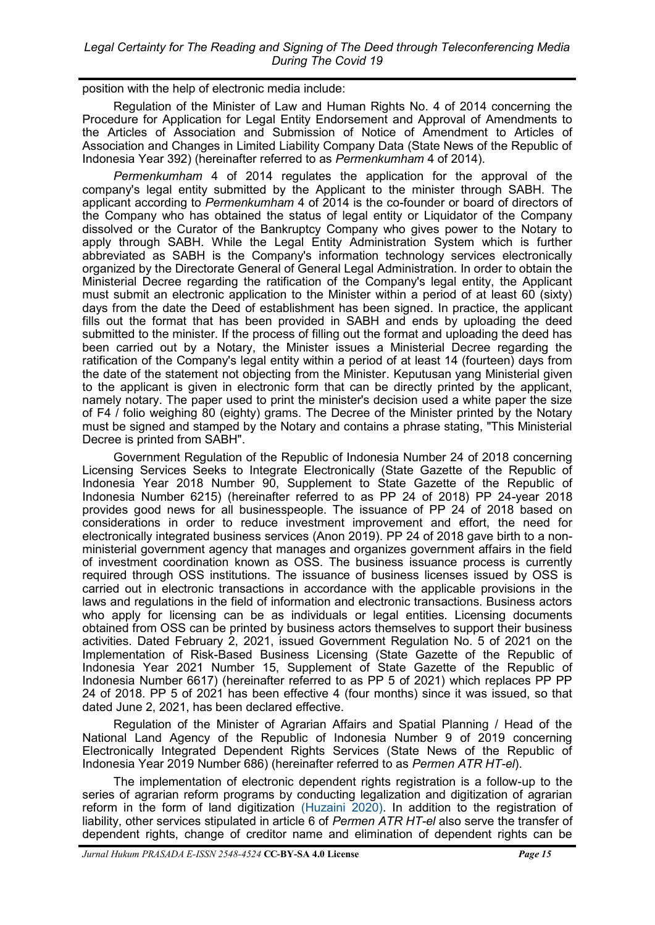position with the help of electronic media include:

Regulation of the Minister of Law and Human Rights No. 4 of 2014 concerning the Procedure for Application for Legal Entity Endorsement and Approval of Amendments to the Articles of Association and Submission of Notice of Amendment to Articles of Association and Changes in Limited Liability Company Data (State News of the Republic of Indonesia Year 392) (hereinafter referred to as *Permenkumham* 4 of 2014).

*Permenkumham* 4 of 2014 regulates the application for the approval of the company's legal entity submitted by the Applicant to the minister through SABH. The applicant according to *Permenkumham* 4 of 2014 is the co-founder or board of directors of the Company who has obtained the status of legal entity or Liquidator of the Company dissolved or the Curator of the Bankruptcy Company who gives power to the Notary to apply through SABH. While the Legal Entity Administration System which is further abbreviated as SABH is the Company's information technology services electronically organized by the Directorate General of General Legal Administration. In order to obtain the Ministerial Decree regarding the ratification of the Company's legal entity, the Applicant must submit an electronic application to the Minister within a period of at least 60 (sixty) days from the date the Deed of establishment has been signed. In practice, the applicant fills out the format that has been provided in SABH and ends by uploading the deed submitted to the minister. If the process of filling out the format and uploading the deed has been carried out by a Notary, the Minister issues a Ministerial Decree regarding the ratification of the Company's legal entity within a period of at least 14 (fourteen) days from the date of the statement not objecting from the Minister. Keputusan yang Ministerial given to the applicant is given in electronic form that can be directly printed by the applicant, namely notary. The paper used to print the minister's decision used a white paper the size of F4 / folio weighing 80 (eighty) grams. The Decree of the Minister printed by the Notary must be signed and stamped by the Notary and contains a phrase stating, "This Ministerial Decree is printed from SABH".

Government Regulation of the Republic of Indonesia Number 24 of 2018 concerning Licensing Services Seeks to Integrate Electronically (State Gazette of the Republic of Indonesia Year 2018 Number 90, Supplement to State Gazette of the Republic of Indonesia Number 6215) (hereinafter referred to as PP 24 of 2018) PP 24-year 2018 provides good news for all businesspeople. The issuance of PP 24 of 2018 based on considerations in order to reduce investment improvement and effort, the need for electronically integrated business services (Anon 2019). PP 24 of 2018 gave birth to a nonministerial government agency that manages and organizes government affairs in the field of investment coordination known as OSS. The business issuance process is currently required through OSS institutions. The issuance of business licenses issued by OSS is carried out in electronic transactions in accordance with the applicable provisions in the laws and regulations in the field of information and electronic transactions. Business actors who apply for licensing can be as individuals or legal entities. Licensing documents obtained from OSS can be printed by business actors themselves to support their business activities. Dated February 2, 2021, issued Government Regulation No. 5 of 2021 on the Implementation of Risk-Based Business Licensing (State Gazette of the Republic of Indonesia Year 2021 Number 15, Supplement of State Gazette of the Republic of Indonesia Number 6617) (hereinafter referred to as PP 5 of 2021) which replaces PP PP 24 of 2018. PP 5 of 2021 has been effective 4 (four months) since it was issued, so that dated June 2, 2021, has been declared effective.

Regulation of the Minister of Agrarian Affairs and Spatial Planning / Head of the National Land Agency of the Republic of Indonesia Number 9 of 2019 concerning Electronically Integrated Dependent Rights Services (State News of the Republic of Indonesia Year 2019 Number 686) (hereinafter referred to as *Permen ATR HT-el*).

The implementation of electronic dependent rights registration is a follow-up to the series of agrarian reform programs by conducting legalization and digitization of agrarian reform in the form of land digitization [\(Huzaini 2020\).](#page-11-0) In addition to the registration of liability, other services stipulated in article 6 of *Permen ATR HT-el* also serve the transfer of dependent rights, change of creditor name and elimination of dependent rights can be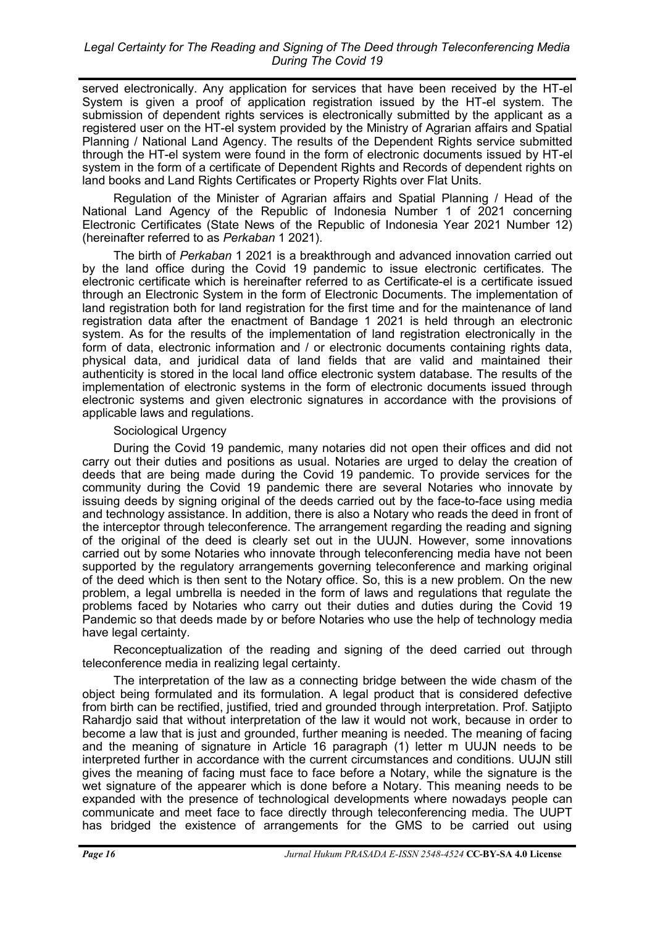served electronically. Any application for services that have been received by the HT-el System is given a proof of application registration issued by the HT-el system. The submission of dependent rights services is electronically submitted by the applicant as a registered user on the HT-el system provided by the Ministry of Agrarian affairs and Spatial Planning / National Land Agency. The results of the Dependent Rights service submitted through the HT-el system were found in the form of electronic documents issued by HT-el system in the form of a certificate of Dependent Rights and Records of dependent rights on land books and Land Rights Certificates or Property Rights over Flat Units.

Regulation of the Minister of Agrarian affairs and Spatial Planning / Head of the National Land Agency of the Republic of Indonesia Number 1 of 2021 concerning Electronic Certificates (State News of the Republic of Indonesia Year 2021 Number 12) (hereinafter referred to as *Perkaban* 1 2021).

The birth of *Perkaban* 1 2021 is a breakthrough and advanced innovation carried out by the land office during the Covid 19 pandemic to issue electronic certificates. The electronic certificate which is hereinafter referred to as Certificate-el is a certificate issued through an Electronic System in the form of Electronic Documents. The implementation of land registration both for land registration for the first time and for the maintenance of land registration data after the enactment of Bandage 1 2021 is held through an electronic system. As for the results of the implementation of land registration electronically in the form of data, electronic information and / or electronic documents containing rights data, physical data, and juridical data of land fields that are valid and maintained their authenticity is stored in the local land office electronic system database. The results of the implementation of electronic systems in the form of electronic documents issued through electronic systems and given electronic signatures in accordance with the provisions of applicable laws and regulations.

### Sociological Urgency

During the Covid 19 pandemic, many notaries did not open their offices and did not carry out their duties and positions as usual. Notaries are urged to delay the creation of deeds that are being made during the Covid 19 pandemic. To provide services for the community during the Covid 19 pandemic there are several Notaries who innovate by issuing deeds by signing original of the deeds carried out by the face-to-face using media and technology assistance. In addition, there is also a Notary who reads the deed in front of the interceptor through teleconference. The arrangement regarding the reading and signing of the original of the deed is clearly set out in the UUJN. However, some innovations carried out by some Notaries who innovate through teleconferencing media have not been supported by the regulatory arrangements governing teleconference and marking original of the deed which is then sent to the Notary office. So, this is a new problem. On the new problem, a legal umbrella is needed in the form of laws and regulations that regulate the problems faced by Notaries who carry out their duties and duties during the Covid 19 Pandemic so that deeds made by or before Notaries who use the help of technology media have legal certainty.

Reconceptualization of the reading and signing of the deed carried out through teleconference media in realizing legal certainty.

The interpretation of the law as a connecting bridge between the wide chasm of the object being formulated and its formulation. A legal product that is considered defective from birth can be rectified, justified, tried and grounded through interpretation. Prof. Satjipto Rahardjo said that without interpretation of the law it would not work, because in order to become a law that is just and grounded, further meaning is needed. The meaning of facing and the meaning of signature in Article 16 paragraph (1) letter m UUJN needs to be interpreted further in accordance with the current circumstances and conditions. UUJN still gives the meaning of facing must face to face before a Notary, while the signature is the wet signature of the appearer which is done before a Notary. This meaning needs to be expanded with the presence of technological developments where nowadays people can communicate and meet face to face directly through teleconferencing media. The UUPT has bridged the existence of arrangements for the GMS to be carried out using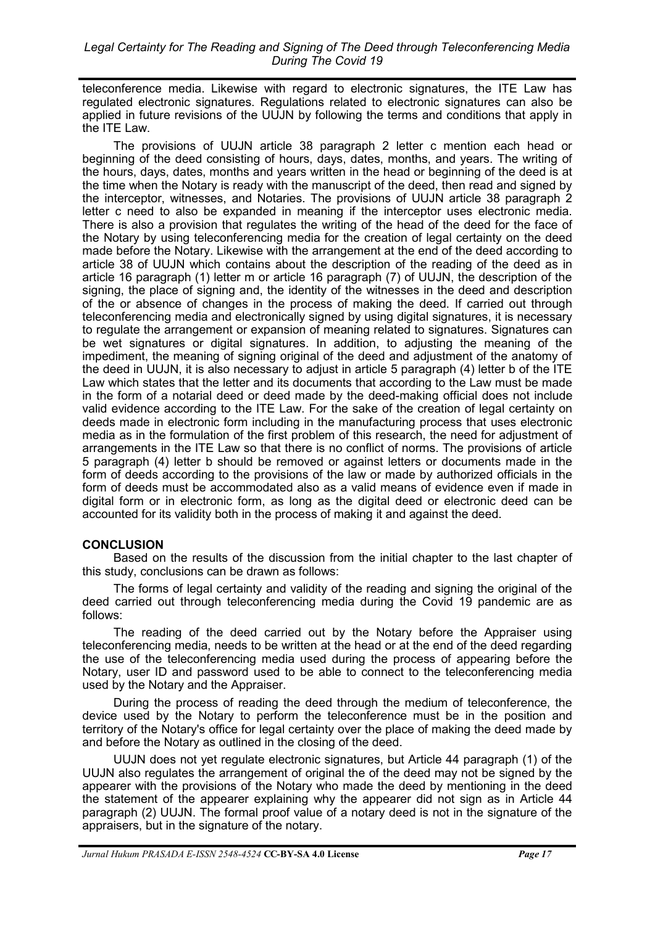teleconference media. Likewise with regard to electronic signatures, the ITE Law has regulated electronic signatures. Regulations related to electronic signatures can also be applied in future revisions of the UUJN by following the terms and conditions that apply in the ITE Law.

The provisions of UUJN article 38 paragraph 2 letter c mention each head or beginning of the deed consisting of hours, days, dates, months, and years. The writing of the hours, days, dates, months and years written in the head or beginning of the deed is at the time when the Notary is ready with the manuscript of the deed, then read and signed by the interceptor, witnesses, and Notaries. The provisions of UUJN article 38 paragraph 2 letter c need to also be expanded in meaning if the interceptor uses electronic media. There is also a provision that regulates the writing of the head of the deed for the face of the Notary by using teleconferencing media for the creation of legal certainty on the deed made before the Notary. Likewise with the arrangement at the end of the deed according to article 38 of UUJN which contains about the description of the reading of the deed as in article 16 paragraph (1) letter m or article 16 paragraph (7) of UUJN, the description of the signing, the place of signing and, the identity of the witnesses in the deed and description of the or absence of changes in the process of making the deed. If carried out through teleconferencing media and electronically signed by using digital signatures, it is necessary to regulate the arrangement or expansion of meaning related to signatures. Signatures can be wet signatures or digital signatures. In addition, to adjusting the meaning of the impediment, the meaning of signing original of the deed and adjustment of the anatomy of the deed in UUJN, it is also necessary to adjust in article 5 paragraph (4) letter b of the ITE Law which states that the letter and its documents that according to the Law must be made in the form of a notarial deed or deed made by the deed-making official does not include valid evidence according to the ITE Law. For the sake of the creation of legal certainty on deeds made in electronic form including in the manufacturing process that uses electronic media as in the formulation of the first problem of this research, the need for adjustment of arrangements in the ITE Law so that there is no conflict of norms. The provisions of article 5 paragraph (4) letter b should be removed or against letters or documents made in the form of deeds according to the provisions of the law or made by authorized officials in the form of deeds must be accommodated also as a valid means of evidence even if made in digital form or in electronic form, as long as the digital deed or electronic deed can be accounted for its validity both in the process of making it and against the deed.

# **CONCLUSION**

Based on the results of the discussion from the initial chapter to the last chapter of this study, conclusions can be drawn as follows:

The forms of legal certainty and validity of the reading and signing the original of the deed carried out through teleconferencing media during the Covid 19 pandemic are as follows:

The reading of the deed carried out by the Notary before the Appraiser using teleconferencing media, needs to be written at the head or at the end of the deed regarding the use of the teleconferencing media used during the process of appearing before the Notary, user ID and password used to be able to connect to the teleconferencing media used by the Notary and the Appraiser.

During the process of reading the deed through the medium of teleconference, the device used by the Notary to perform the teleconference must be in the position and territory of the Notary's office for legal certainty over the place of making the deed made by and before the Notary as outlined in the closing of the deed.

UUJN does not yet regulate electronic signatures, but Article 44 paragraph (1) of the UUJN also regulates the arrangement of original the of the deed may not be signed by the appearer with the provisions of the Notary who made the deed by mentioning in the deed the statement of the appearer explaining why the appearer did not sign as in Article 44 paragraph (2) UUJN. The formal proof value of a notary deed is not in the signature of the appraisers, but in the signature of the notary.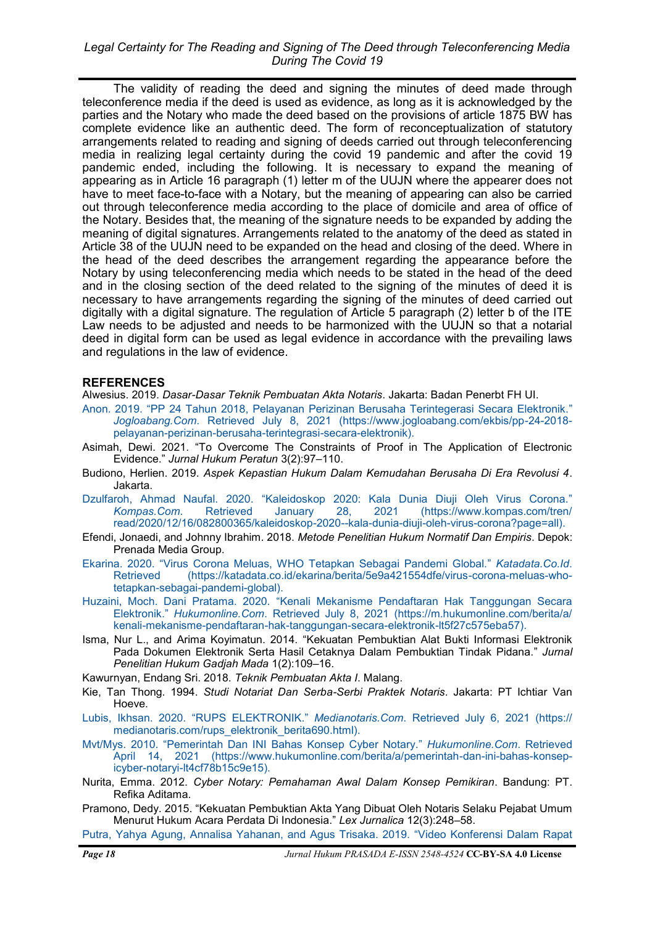## <span id="page-11-0"></span>*Legal Certainty for The Reading and Signing of The Deed through Teleconferencing Media During The Covid 19*

The validity of reading the deed and signing the minutes of deed made through teleconference media if the deed is used as evidence, as long as it is acknowledged by the parties and the Notary who made the deed based on the provisions of article 1875 BW has complete evidence like an authentic deed. The form of reconceptualization of statutory arrangements related to reading and signing of deeds carried out through teleconferencing media in realizing legal certainty during the covid 19 pandemic and after the covid 19 pandemic ended, including the following. It is necessary to expand the meaning of appearing as in Article 16 paragraph (1) letter m of the UUJN where the appearer does not have to meet face-to-face with a Notary, but the meaning of appearing can also be carried out through teleconference media according to the place of domicile and area of office of the Notary. Besides that, the meaning of the signature needs to be expanded by adding the meaning of digital signatures. Arrangements related to the anatomy of the deed as stated in Article 38 of the UUJN need to be expanded on the head and closing of the deed. Where in the head of the deed describes the arrangement regarding the appearance before the Notary by using teleconferencing media which needs to be stated in the head of the deed and in the closing section of the deed related to the signing of the minutes of deed it is necessary to have arrangements regarding the signing of the minutes of deed carried out digitally with a digital signature. The regulation of Article 5 paragraph (2) letter b of the ITE Law needs to be adjusted and needs to be harmonized with the UUJN so that a notarial deed in digital form can be used as legal evidence in accordance with the prevailing laws and regulations in the law of evidence.

### **REFERENCES**

Alwesius. 2019. *Dasar-Dasar Teknik Pembuatan Akta Notaris*. Jakarta: Badan Penerbt FH UI.

- Anon. 2019. "[PP 24 Tahun 2018, Pelayanan Perizinan Berusaha Terintegerasi Secara Elektronik.](https://www.jogloabang.com/ekbis/pp-24-2018-pelayanan-perizinan-berusaha-terintegrasi-secara-elektronik)" *Jogloabang.Com*[. Retrieved July 8, 2021 \(https://www.jogloabang.com/ekbis/pp](https://www.jogloabang.com/ekbis/pp-24-2018-pelayanan-perizinan-berusaha-terintegrasi-secara-elektronik)-24-2018 pelayanan-perizinan-berusaha-[terintegrasi](https://www.jogloabang.com/ekbis/pp-24-2018-pelayanan-perizinan-berusaha-terintegrasi-secara-elektronik)-secara-elektronik).
- Asimah, Dewi. 2021. "To Overcome The Constraints of Proof in The Application of Electronic Evidence." *Jurnal Hukum Peratun* 3(2):97–110.
- Budiono, Herlien. 2019. *Aspek Kepastian Hukum Dalam Kemudahan Berusaha Di Era Revolusi 4*. Jakarta.
- Dzulfaroh, Ahmad Naufal. 2020. "[Kaleidoskop 2020: Kala Dunia Diuji Oleh Virus Corona.](https://www.kompas.com/tren/read/2020/12/16/082800365/kaleidoskop-2020--kala-dunia-diuji-oleh-virus-corona?page=all)" *Kompas.Com*[. Retrieved January 28, 2021 \(https://www.kompas.com/tren/](https://www.kompas.com/tren/read/2020/12/16/082800365/kaleidoskop-2020--kala-dunia-diuji-oleh-virus-corona?page=all) [read/2020/12/16/082800365/kaleidoskop](https://www.kompas.com/tren/read/2020/12/16/082800365/kaleidoskop-2020--kala-dunia-diuji-oleh-virus-corona?page=all)-2020--kala-dunia-diuji-oleh-virus-corona?page=all).
- Efendi, Jonaedi, and Johnny Ibrahim. 2018. *Metode Penelitian Hukum Normatif Dan Empiris*. Depok: Prenada Media Group.
- Ekarina. 2020. "[Virus Corona Meluas, WHO Tetapkan Sebagai Pandemi Global.](https://katadata.co.id/ekarina/berita/5e9a421554dfe/virus-corona-meluas-who-tetapkan-sebagai-pandemi-global)" *Katadata.Co.Id*. [Retrieved \(https://katadata.co.id/ekarina/berita/5e9a421554dfe/virus](https://katadata.co.id/ekarina/berita/5e9a421554dfe/virus-corona-meluas-who-tetapkan-sebagai-pandemi-global)-corona-meluas-whotetapkan-sebagai-[pandemi](https://katadata.co.id/ekarina/berita/5e9a421554dfe/virus-corona-meluas-who-tetapkan-sebagai-pandemi-global)-global).
- Huzaini, Moch. Dani Pratama. 2020. "[Kenali Mekanisme Pendaftaran Hak Tanggungan Secara](https://m.hukumonline.com/berita/a/kenali-mekanisme-pendaftaran-hak-tanggungan-secara-elektronik-lt5f27c575eba57)  Elektronik." *Hukumonline.Com*[. Retrieved July 8, 2021 \(https://m.hukumonline.com/berita/a/](https://m.hukumonline.com/berita/a/kenali-mekanisme-pendaftaran-hak-tanggungan-secara-elektronik-lt5f27c575eba57) kenali-mekanisme-pendaftaran-hak-tanggungan-secara-elektronik-[lt5f27c575eba57\).](https://m.hukumonline.com/berita/a/kenali-mekanisme-pendaftaran-hak-tanggungan-secara-elektronik-lt5f27c575eba57)
- Isma, Nur L., and Arima Koyimatun. 2014. "Kekuatan Pembuktian Alat Bukti Informasi Elektronik Pada Dokumen Elektronik Serta Hasil Cetaknya Dalam Pembuktian Tindak Pidana." *Jurnal Penelitian Hukum Gadjah Mada* 1(2):109–16.

Kawurnyan, Endang Sri. 2018. *Teknik Pembuatan Akta I*. Malang.

- Kie, Tan Thong. 1994. *Studi Notariat Dan Serba-Serbi Praktek Notaris*. Jakarta: PT Ichtiar Van Hoeve.
- Lubis, Ikhsan. 2020. "RUPS ELEKTRONIK." *Medianotaris.Com*[. Retrieved July 6, 2021 \(https://](https://medianotaris.com/rups_elektronik_berita690.html) [medianotaris.com/rups\\_elektronik\\_berita690.html\).](https://medianotaris.com/rups_elektronik_berita690.html)
- Mvt/Mys. 2010. "[Pemerintah Dan INI Bahas Konsep Cyber Notary.](https://www.hukumonline.com/berita/a/pemerintah-dan-ini-bahas-konsep-icyber-notaryi-lt4cf78b15c9e15)" *Hukumonline.Com*. Retrieved [April 14, 2021 \(https://www.hukumonline.com/berita/a/pemerintah](https://www.hukumonline.com/berita/a/pemerintah-dan-ini-bahas-konsep-icyber-notaryi-lt4cf78b15c9e15)-dan-ini-bahas-konsepicyber-notaryi-[lt4cf78b15c9e15\).](https://www.hukumonline.com/berita/a/pemerintah-dan-ini-bahas-konsep-icyber-notaryi-lt4cf78b15c9e15)
- Nurita, Emma. 2012. *Cyber Notary: Pemahaman Awal Dalam Konsep Pemikiran*. Bandung: PT. Refika Aditama.
- Pramono, Dedy. 2015. "Kekuatan Pembuktian Akta Yang Dibuat Oleh Notaris Selaku Pejabat Umum Menurut Hukum Acara Perdata Di Indonesia." *Lex Jurnalica* 12(3):248–58.

[Putra, Yahya Agung, Annalisa Yahanan, and Agus Trisaka. 2019.](http://journal.fh.unsri.ac.id/index.php/repertorium/article/download/310/165) "Video Konferensi Dalam Rapat